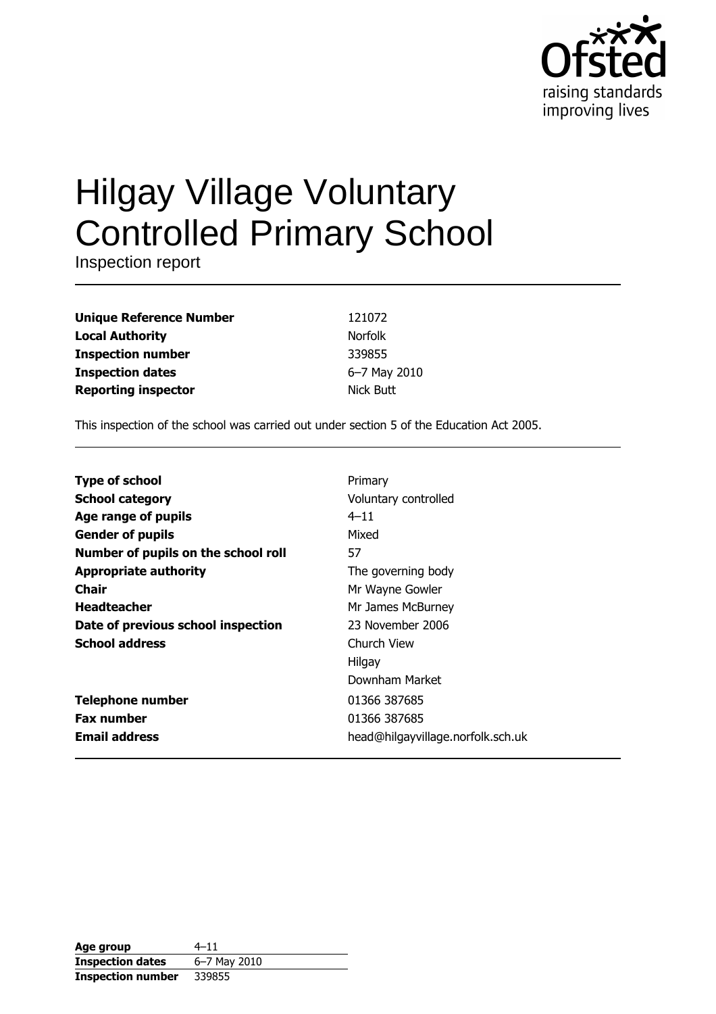

# **Hilgay Village Voluntary Controlled Primary School**

Inspection report

| <b>Unique Reference Number</b> |
|--------------------------------|
| <b>Local Authority</b>         |
| <b>Inspection number</b>       |
| <b>Inspection dates</b>        |
| <b>Reporting inspector</b>     |

121072 Norfolk 339855 6-7 May 2010 Nick Butt

This inspection of the school was carried out under section 5 of the Education Act 2005.

| <b>Type of school</b>               | Primary                           |
|-------------------------------------|-----------------------------------|
| <b>School category</b>              | Voluntary controlled              |
| <b>Age range of pupils</b>          | $4 - 11$                          |
| <b>Gender of pupils</b>             | Mixed                             |
| Number of pupils on the school roll | 57                                |
| <b>Appropriate authority</b>        | The governing body                |
| Chair                               | Mr Wayne Gowler                   |
| <b>Headteacher</b>                  | Mr James McBurney                 |
| Date of previous school inspection  | 23 November 2006                  |
| <b>School address</b>               | Church View                       |
|                                     | Hilgay                            |
|                                     | Downham Market                    |
| <b>Telephone number</b>             | 01366 387685                      |
| <b>Fax number</b>                   | 01366 387685                      |
| <b>Email address</b>                | head@hilgayvillage.norfolk.sch.uk |

| Age group                | $4 - 11$     |
|--------------------------|--------------|
| <b>Inspection dates</b>  | 6-7 May 2010 |
| <b>Inspection number</b> | 339855       |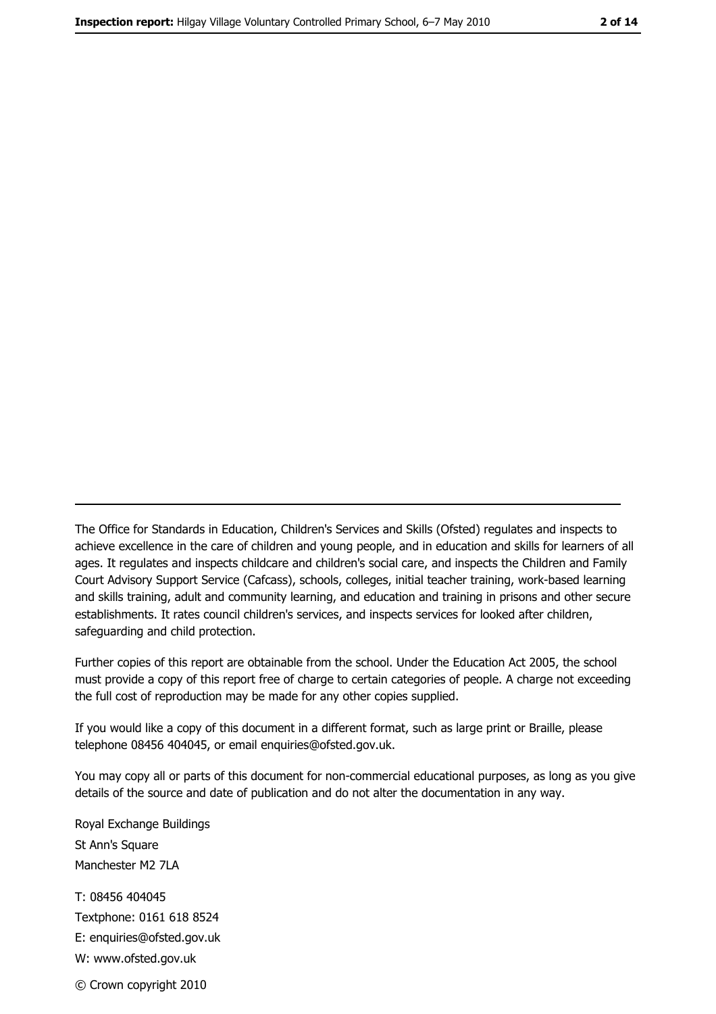The Office for Standards in Education, Children's Services and Skills (Ofsted) regulates and inspects to achieve excellence in the care of children and young people, and in education and skills for learners of all ages. It regulates and inspects childcare and children's social care, and inspects the Children and Family Court Advisory Support Service (Cafcass), schools, colleges, initial teacher training, work-based learning and skills training, adult and community learning, and education and training in prisons and other secure establishments. It rates council children's services, and inspects services for looked after children, safequarding and child protection.

Further copies of this report are obtainable from the school. Under the Education Act 2005, the school must provide a copy of this report free of charge to certain categories of people. A charge not exceeding the full cost of reproduction may be made for any other copies supplied.

If you would like a copy of this document in a different format, such as large print or Braille, please telephone 08456 404045, or email enquiries@ofsted.gov.uk.

You may copy all or parts of this document for non-commercial educational purposes, as long as you give details of the source and date of publication and do not alter the documentation in any way.

Royal Exchange Buildings St Ann's Square Manchester M2 7LA T: 08456 404045 Textphone: 0161 618 8524 E: enquiries@ofsted.gov.uk W: www.ofsted.gov.uk © Crown copyright 2010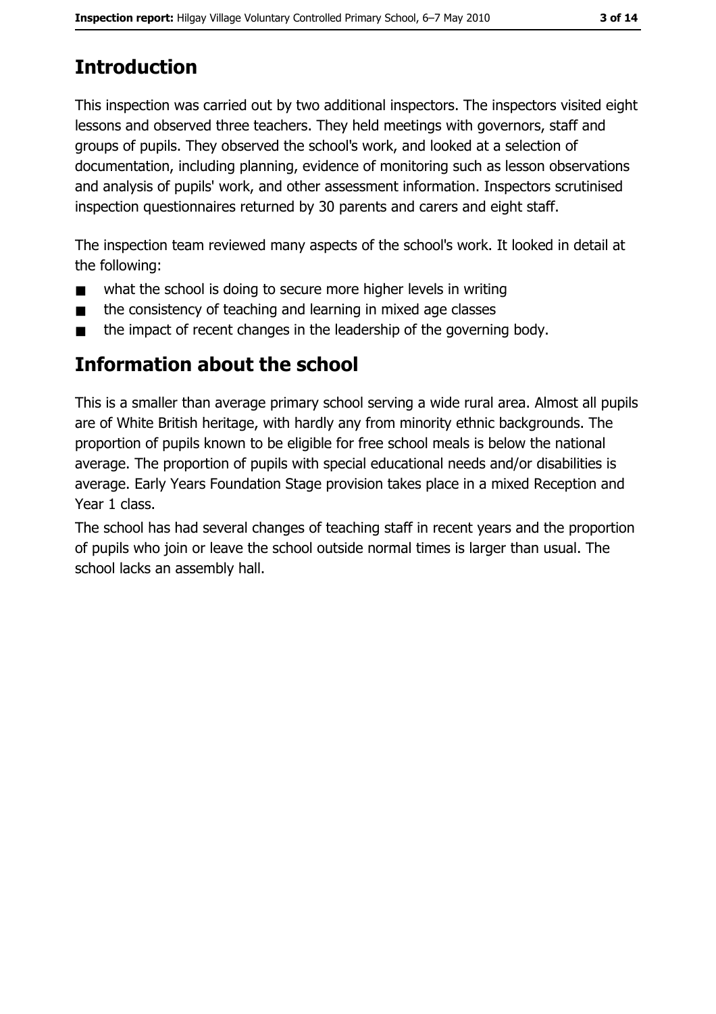# **Introduction**

This inspection was carried out by two additional inspectors. The inspectors visited eight lessons and observed three teachers. They held meetings with governors, staff and groups of pupils. They observed the school's work, and looked at a selection of documentation, including planning, evidence of monitoring such as lesson observations and analysis of pupils' work, and other assessment information. Inspectors scrutinised inspection questionnaires returned by 30 parents and carers and eight staff.

The inspection team reviewed many aspects of the school's work. It looked in detail at the following:

- what the school is doing to secure more higher levels in writing  $\blacksquare$
- the consistency of teaching and learning in mixed age classes  $\blacksquare$
- the impact of recent changes in the leadership of the governing body.  $\blacksquare$

## Information about the school

This is a smaller than average primary school serving a wide rural area. Almost all pupils are of White British heritage, with hardly any from minority ethnic backgrounds. The proportion of pupils known to be eligible for free school meals is below the national average. The proportion of pupils with special educational needs and/or disabilities is average. Early Years Foundation Stage provision takes place in a mixed Reception and Year 1 class.

The school has had several changes of teaching staff in recent years and the proportion of pupils who join or leave the school outside normal times is larger than usual. The school lacks an assembly hall.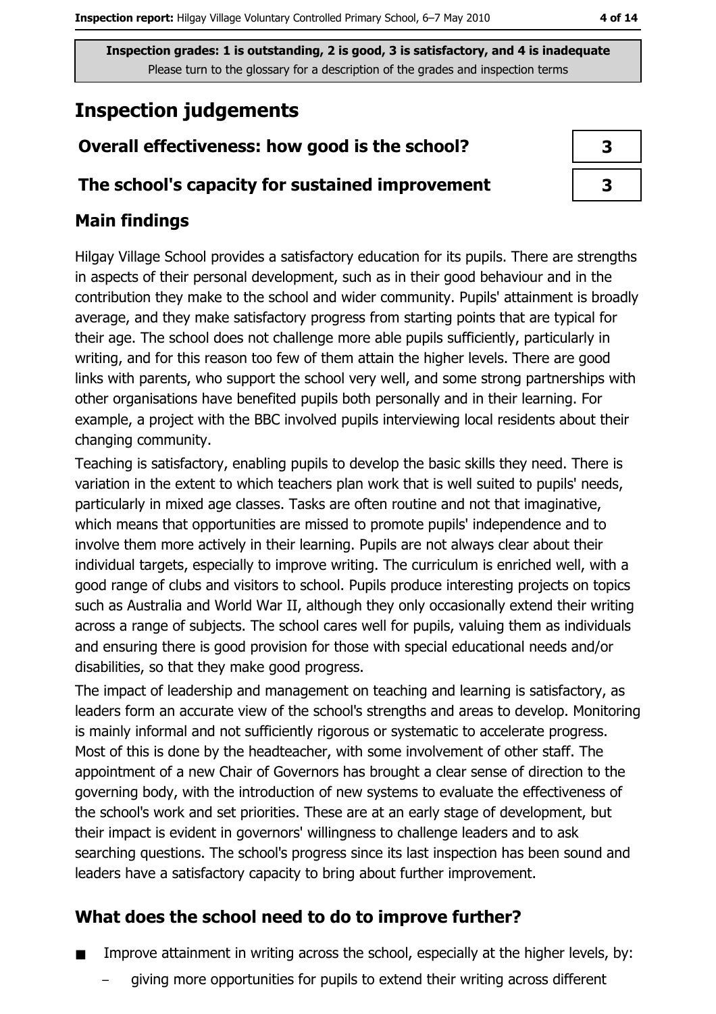# **Inspection judgements**

## Overall effectiveness: how good is the school?

#### The school's capacity for sustained improvement

## **Main findings**

Hilgay Village School provides a satisfactory education for its pupils. There are strengths in aspects of their personal development, such as in their good behaviour and in the contribution they make to the school and wider community. Pupils' attainment is broadly average, and they make satisfactory progress from starting points that are typical for their age. The school does not challenge more able pupils sufficiently, particularly in writing, and for this reason too few of them attain the higher levels. There are good links with parents, who support the school very well, and some strong partnerships with other organisations have benefited pupils both personally and in their learning. For example, a project with the BBC involved pupils interviewing local residents about their changing community.

Teaching is satisfactory, enabling pupils to develop the basic skills they need. There is variation in the extent to which teachers plan work that is well suited to pupils' needs, particularly in mixed age classes. Tasks are often routine and not that imaginative, which means that opportunities are missed to promote pupils' independence and to involve them more actively in their learning. Pupils are not always clear about their individual targets, especially to improve writing. The curriculum is enriched well, with a good range of clubs and visitors to school. Pupils produce interesting projects on topics such as Australia and World War II, although they only occasionally extend their writing across a range of subjects. The school cares well for pupils, valuing them as individuals and ensuring there is good provision for those with special educational needs and/or disabilities, so that they make good progress.

The impact of leadership and management on teaching and learning is satisfactory, as leaders form an accurate view of the school's strengths and areas to develop. Monitoring is mainly informal and not sufficiently rigorous or systematic to accelerate progress. Most of this is done by the headteacher, with some involvement of other staff. The appointment of a new Chair of Governors has brought a clear sense of direction to the governing body, with the introduction of new systems to evaluate the effectiveness of the school's work and set priorities. These are at an early stage of development, but their impact is evident in governors' willingness to challenge leaders and to ask searching questions. The school's progress since its last inspection has been sound and leaders have a satisfactory capacity to bring about further improvement.

## What does the school need to do to improve further?

- Improve attainment in writing across the school, especially at the higher levels, by:  $\blacksquare$ 
	- giving more opportunities for pupils to extend their writing across different

| 3 |  |
|---|--|
| 3 |  |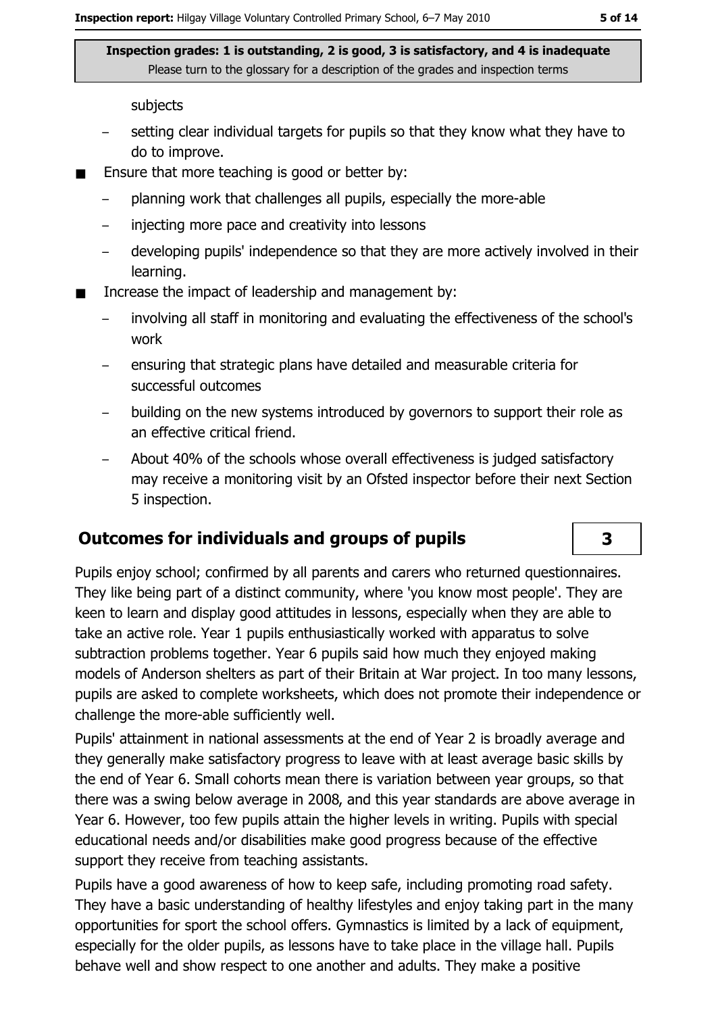subjects

- setting clear individual targets for pupils so that they know what they have to do to improve.
- Ensure that more teaching is good or better by:  $\blacksquare$ 
	- planning work that challenges all pupils, especially the more-able  $\equiv$
	- injecting more pace and creativity into lessons  $\equiv$
	- developing pupils' independence so that they are more actively involved in their  $\equiv$ learning.
- Increase the impact of leadership and management by:  $\blacksquare$ 
	- involving all staff in monitoring and evaluating the effectiveness of the school's work
	- ensuring that strategic plans have detailed and measurable criteria for successful outcomes
	- building on the new systems introduced by governors to support their role as an effective critical friend.
	- About 40% of the schools whose overall effectiveness is judged satisfactory may receive a monitoring visit by an Ofsted inspector before their next Section 5 inspection.

### **Outcomes for individuals and groups of pupils**

Pupils enjoy school; confirmed by all parents and carers who returned questionnaires. They like being part of a distinct community, where 'you know most people'. They are keen to learn and display good attitudes in lessons, especially when they are able to take an active role. Year 1 pupils enthusiastically worked with apparatus to solve subtraction problems together. Year 6 pupils said how much they enjoyed making models of Anderson shelters as part of their Britain at War project. In too many lessons, pupils are asked to complete worksheets, which does not promote their independence or challenge the more-able sufficiently well.

Pupils' attainment in national assessments at the end of Year 2 is broadly average and they generally make satisfactory progress to leave with at least average basic skills by the end of Year 6. Small cohorts mean there is variation between year groups, so that there was a swing below average in 2008, and this year standards are above average in Year 6. However, too few pupils attain the higher levels in writing. Pupils with special educational needs and/or disabilities make good progress because of the effective support they receive from teaching assistants.

Pupils have a good awareness of how to keep safe, including promoting road safety. They have a basic understanding of healthy lifestyles and enjoy taking part in the many opportunities for sport the school offers. Gymnastics is limited by a lack of equipment, especially for the older pupils, as lessons have to take place in the village hall. Pupils behave well and show respect to one another and adults. They make a positive

3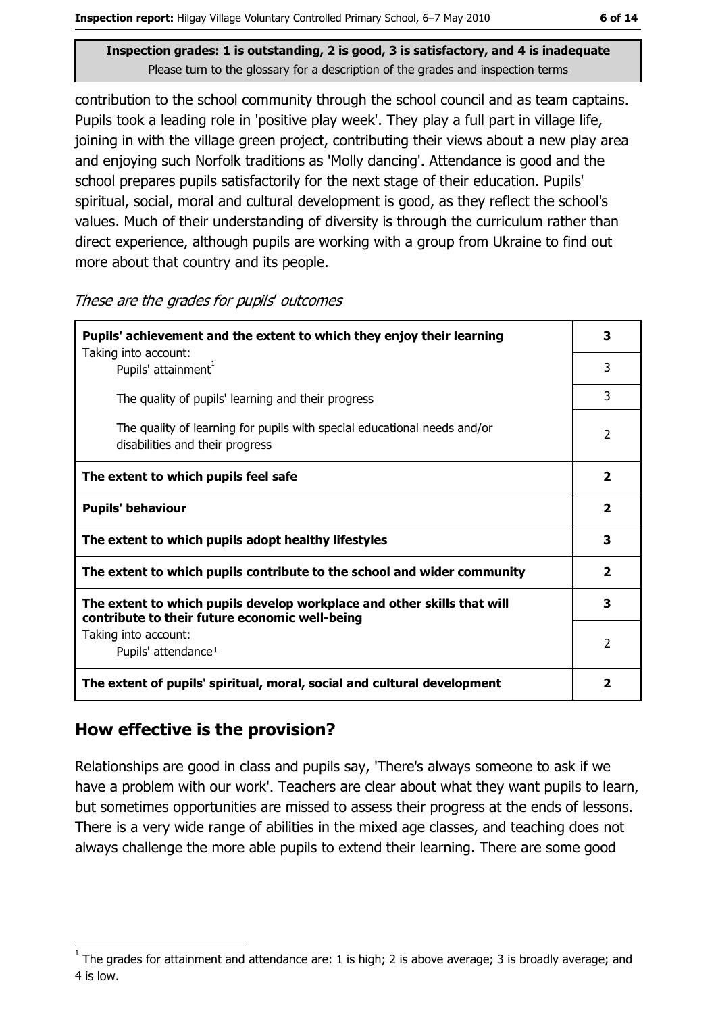contribution to the school community through the school council and as team captains. Pupils took a leading role in 'positive play week'. They play a full part in village life, joining in with the village green project, contributing their views about a new play area and enjoying such Norfolk traditions as 'Molly dancing'. Attendance is good and the school prepares pupils satisfactorily for the next stage of their education. Pupils' spiritual, social, moral and cultural development is good, as they reflect the school's values. Much of their understanding of diversity is through the curriculum rather than direct experience, although pupils are working with a group from Ukraine to find out more about that country and its people.

| Pupils' achievement and the extent to which they enjoy their learning                                                     | 3                       |
|---------------------------------------------------------------------------------------------------------------------------|-------------------------|
| Taking into account:<br>Pupils' attainment <sup>1</sup>                                                                   | 3                       |
| The quality of pupils' learning and their progress                                                                        | 3                       |
| The quality of learning for pupils with special educational needs and/or<br>disabilities and their progress               | 2                       |
| The extent to which pupils feel safe                                                                                      | $\overline{\mathbf{2}}$ |
| <b>Pupils' behaviour</b>                                                                                                  | $\overline{\mathbf{2}}$ |
| The extent to which pupils adopt healthy lifestyles                                                                       | 3                       |
| The extent to which pupils contribute to the school and wider community                                                   | $\overline{\mathbf{2}}$ |
| The extent to which pupils develop workplace and other skills that will<br>contribute to their future economic well-being | 3                       |
| Taking into account:<br>Pupils' attendance <sup>1</sup>                                                                   | 2                       |
| The extent of pupils' spiritual, moral, social and cultural development                                                   | 2                       |

#### These are the grades for pupils' outcomes

### How effective is the provision?

Relationships are good in class and pupils say, 'There's always someone to ask if we have a problem with our work'. Teachers are clear about what they want pupils to learn, but sometimes opportunities are missed to assess their progress at the ends of lessons. There is a very wide range of abilities in the mixed age classes, and teaching does not always challenge the more able pupils to extend their learning. There are some good

The grades for attainment and attendance are: 1 is high; 2 is above average; 3 is broadly average; and 4 is low.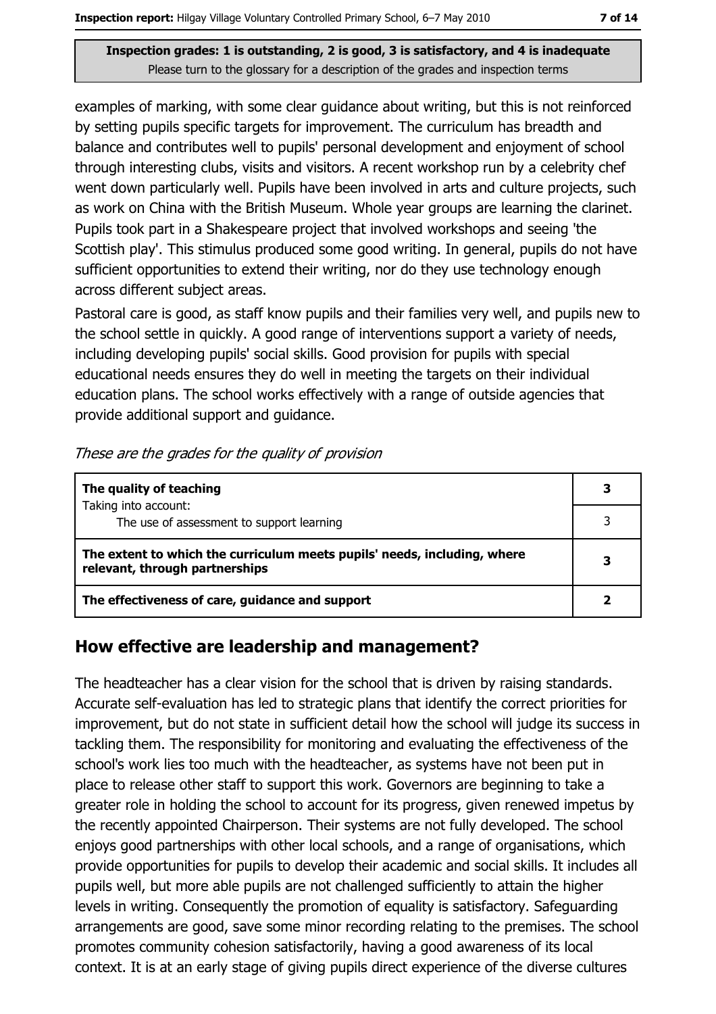examples of marking, with some clear guidance about writing, but this is not reinforced by setting pupils specific targets for improvement. The curriculum has breadth and balance and contributes well to pupils' personal development and enjoyment of school through interesting clubs, visits and visitors. A recent workshop run by a celebrity chef went down particularly well. Pupils have been involved in arts and culture projects, such as work on China with the British Museum. Whole year groups are learning the clarinet. Pupils took part in a Shakespeare project that involved workshops and seeing 'the Scottish play'. This stimulus produced some good writing. In general, pupils do not have sufficient opportunities to extend their writing, nor do they use technology enough across different subject areas.

Pastoral care is good, as staff know pupils and their families very well, and pupils new to the school settle in quickly. A good range of interventions support a variety of needs, including developing pupils' social skills. Good provision for pupils with special educational needs ensures they do well in meeting the targets on their individual education plans. The school works effectively with a range of outside agencies that provide additional support and quidance.

#### These are the grades for the quality of provision

| The quality of teaching                                                                                    | 3 |
|------------------------------------------------------------------------------------------------------------|---|
| Taking into account:<br>The use of assessment to support learning                                          |   |
| The extent to which the curriculum meets pupils' needs, including, where<br>relevant, through partnerships |   |
| The effectiveness of care, guidance and support                                                            |   |

#### How effective are leadership and management?

The headteacher has a clear vision for the school that is driven by raising standards. Accurate self-evaluation has led to strategic plans that identify the correct priorities for improvement, but do not state in sufficient detail how the school will judge its success in tackling them. The responsibility for monitoring and evaluating the effectiveness of the school's work lies too much with the headteacher, as systems have not been put in place to release other staff to support this work. Governors are beginning to take a greater role in holding the school to account for its progress, given renewed impetus by the recently appointed Chairperson. Their systems are not fully developed. The school enjoys good partnerships with other local schools, and a range of organisations, which provide opportunities for pupils to develop their academic and social skills. It includes all pupils well, but more able pupils are not challenged sufficiently to attain the higher levels in writing. Consequently the promotion of equality is satisfactory. Safequarding arrangements are good, save some minor recording relating to the premises. The school promotes community cohesion satisfactorily, having a good awareness of its local context. It is at an early stage of giving pupils direct experience of the diverse cultures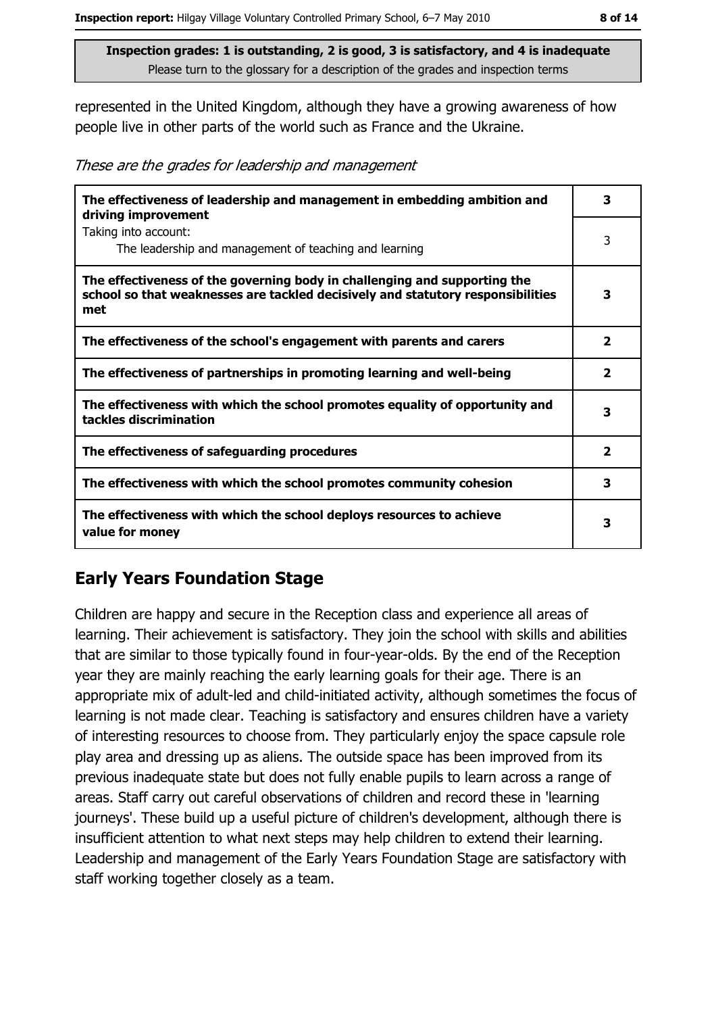represented in the United Kingdom, although they have a growing awareness of how people live in other parts of the world such as France and the Ukraine.

These are the grades for leadership and management

| The effectiveness of leadership and management in embedding ambition and<br>driving improvement                                                                     | 3            |
|---------------------------------------------------------------------------------------------------------------------------------------------------------------------|--------------|
| Taking into account:<br>The leadership and management of teaching and learning                                                                                      | 3            |
| The effectiveness of the governing body in challenging and supporting the<br>school so that weaknesses are tackled decisively and statutory responsibilities<br>met | 3            |
| The effectiveness of the school's engagement with parents and carers                                                                                                | 2            |
| The effectiveness of partnerships in promoting learning and well-being                                                                                              | $\mathbf{2}$ |
| The effectiveness with which the school promotes equality of opportunity and<br>tackles discrimination                                                              | з            |
| The effectiveness of safeguarding procedures                                                                                                                        | 2            |
| The effectiveness with which the school promotes community cohesion                                                                                                 | 3            |
| The effectiveness with which the school deploys resources to achieve<br>value for money                                                                             | 3            |

## **Early Years Foundation Stage**

Children are happy and secure in the Reception class and experience all areas of learning. Their achievement is satisfactory. They join the school with skills and abilities that are similar to those typically found in four-year-olds. By the end of the Reception year they are mainly reaching the early learning goals for their age. There is an appropriate mix of adult-led and child-initiated activity, although sometimes the focus of learning is not made clear. Teaching is satisfactory and ensures children have a variety of interesting resources to choose from. They particularly enjoy the space capsule role play area and dressing up as aliens. The outside space has been improved from its previous inadequate state but does not fully enable pupils to learn across a range of areas. Staff carry out careful observations of children and record these in 'learning journeys'. These build up a useful picture of children's development, although there is insufficient attention to what next steps may help children to extend their learning. Leadership and management of the Early Years Foundation Stage are satisfactory with staff working together closely as a team.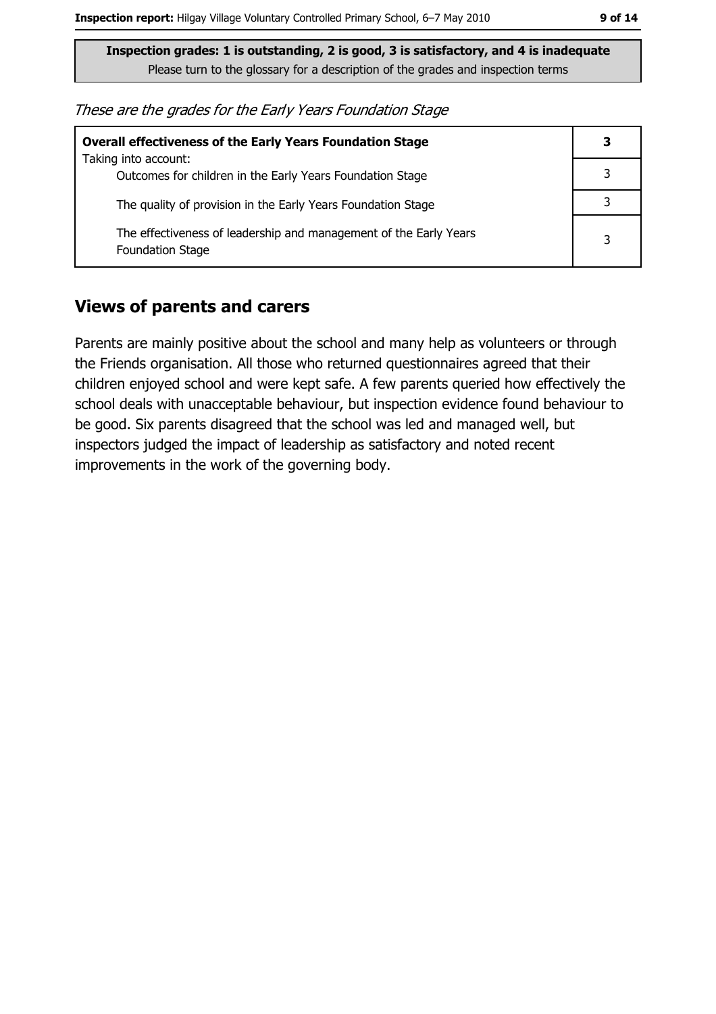| These are the grades for the Early Years Foundation Stage |  |  |
|-----------------------------------------------------------|--|--|
|-----------------------------------------------------------|--|--|

| <b>Overall effectiveness of the Early Years Foundation Stage</b>                             | 3 |
|----------------------------------------------------------------------------------------------|---|
| Taking into account:<br>Outcomes for children in the Early Years Foundation Stage            |   |
| The quality of provision in the Early Years Foundation Stage                                 |   |
| The effectiveness of leadership and management of the Early Years<br><b>Foundation Stage</b> | 3 |

#### **Views of parents and carers**

Parents are mainly positive about the school and many help as volunteers or through the Friends organisation. All those who returned questionnaires agreed that their children enjoyed school and were kept safe. A few parents queried how effectively the school deals with unacceptable behaviour, but inspection evidence found behaviour to be good. Six parents disagreed that the school was led and managed well, but inspectors judged the impact of leadership as satisfactory and noted recent improvements in the work of the governing body.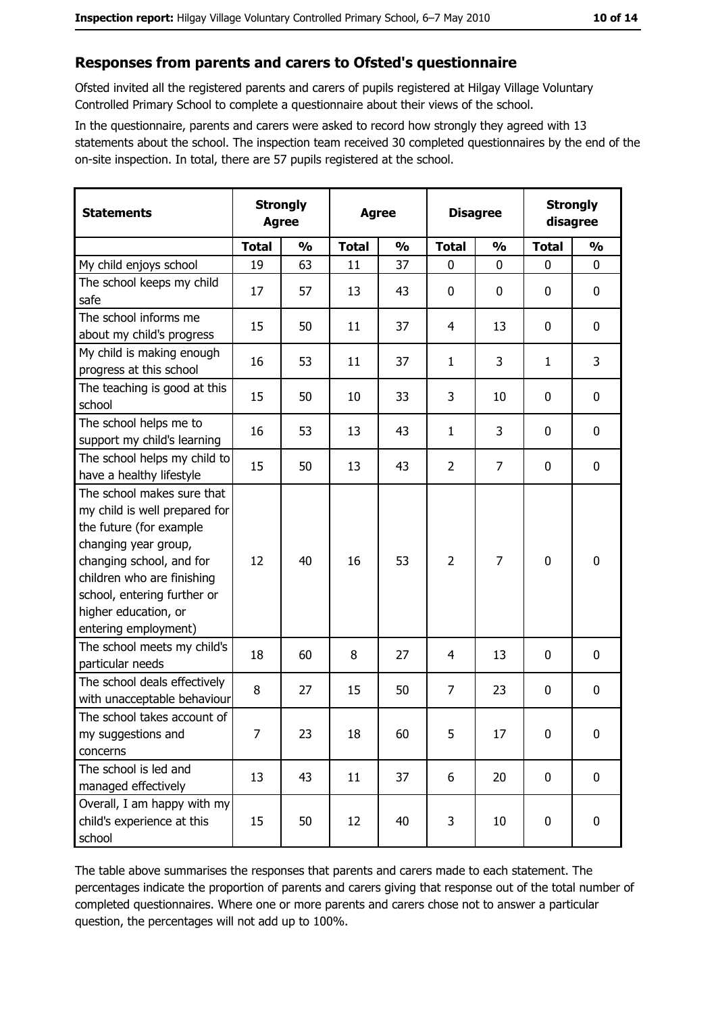#### Responses from parents and carers to Ofsted's questionnaire

Ofsted invited all the registered parents and carers of pupils registered at Hilgay Village Voluntary Controlled Primary School to complete a questionnaire about their views of the school.

In the questionnaire, parents and carers were asked to record how strongly they agreed with 13 statements about the school. The inspection team received 30 completed questionnaires by the end of the on-site inspection. In total, there are 57 pupils registered at the school.

| <b>Statements</b>                                                                                                                                                                                                                                       | <b>Strongly</b><br><b>Agree</b> |               | <b>Agree</b> |               |                | <b>Disagree</b> |              | <b>Strongly</b><br>disagree |
|---------------------------------------------------------------------------------------------------------------------------------------------------------------------------------------------------------------------------------------------------------|---------------------------------|---------------|--------------|---------------|----------------|-----------------|--------------|-----------------------------|
|                                                                                                                                                                                                                                                         | <b>Total</b>                    | $\frac{0}{0}$ | <b>Total</b> | $\frac{0}{0}$ | <b>Total</b>   | $\frac{0}{0}$   | <b>Total</b> | $\frac{0}{0}$               |
| My child enjoys school                                                                                                                                                                                                                                  | 19                              | 63            | 11           | 37            | $\mathbf 0$    | 0               | $\mathbf 0$  | $\mathbf 0$                 |
| The school keeps my child<br>safe                                                                                                                                                                                                                       | 17                              | 57            | 13           | 43            | $\mathbf 0$    | 0               | 0            | $\mathbf 0$                 |
| The school informs me<br>about my child's progress                                                                                                                                                                                                      | 15                              | 50            | 11           | 37            | 4              | 13              | 0            | 0                           |
| My child is making enough<br>progress at this school                                                                                                                                                                                                    | 16                              | 53            | 11           | 37            | $\mathbf{1}$   | 3               | 1            | 3                           |
| The teaching is good at this<br>school                                                                                                                                                                                                                  | 15                              | 50            | 10           | 33            | 3              | 10              | 0            | $\mathbf 0$                 |
| The school helps me to<br>support my child's learning                                                                                                                                                                                                   | 16                              | 53            | 13           | 43            | 1              | 3               | 0            | $\mathbf 0$                 |
| The school helps my child to<br>have a healthy lifestyle                                                                                                                                                                                                | 15                              | 50            | 13           | 43            | $\overline{2}$ | $\overline{7}$  | $\mathbf 0$  | $\mathbf 0$                 |
| The school makes sure that<br>my child is well prepared for<br>the future (for example<br>changing year group,<br>changing school, and for<br>children who are finishing<br>school, entering further or<br>higher education, or<br>entering employment) | 12                              | 40            | 16           | 53            | $\overline{2}$ | 7               | 0            | $\mathbf 0$                 |
| The school meets my child's<br>particular needs                                                                                                                                                                                                         | 18                              | 60            | 8            | 27            | 4              | 13              | 0            | $\bf{0}$                    |
| The school deals effectively<br>with unacceptable behaviour                                                                                                                                                                                             | 8                               | 27            | 15           | 50            | $\overline{7}$ | 23              | 0            | 0                           |
| The school takes account of<br>my suggestions and<br>concerns                                                                                                                                                                                           | 7                               | 23            | 18           | 60            | 5              | 17              | $\mathbf 0$  | $\mathbf 0$                 |
| The school is led and<br>managed effectively                                                                                                                                                                                                            | 13                              | 43            | 11           | 37            | 6              | 20              | $\mathbf 0$  | $\mathbf 0$                 |
| Overall, I am happy with my<br>child's experience at this<br>school                                                                                                                                                                                     | 15                              | 50            | 12           | 40            | 3              | 10              | 0            | 0                           |

The table above summarises the responses that parents and carers made to each statement. The percentages indicate the proportion of parents and carers giving that response out of the total number of completed questionnaires. Where one or more parents and carers chose not to answer a particular question, the percentages will not add up to 100%.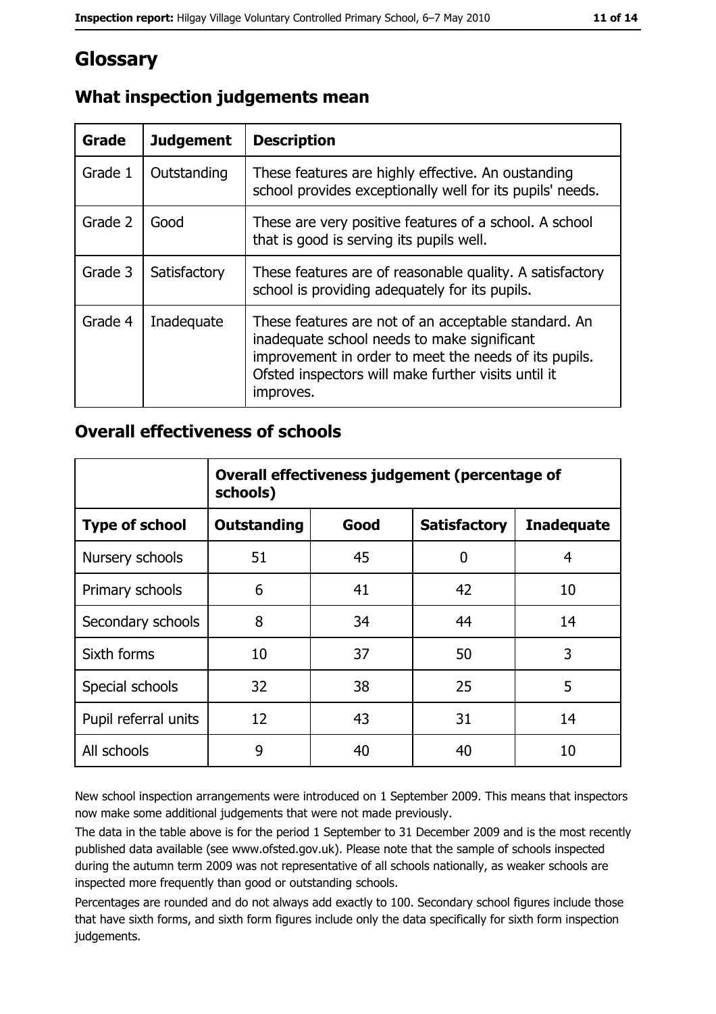## Glossary

| <b>Grade</b> | <b>Judgement</b> | <b>Description</b>                                                                                                                                                                                                               |
|--------------|------------------|----------------------------------------------------------------------------------------------------------------------------------------------------------------------------------------------------------------------------------|
| Grade 1      | Outstanding      | These features are highly effective. An oustanding<br>school provides exceptionally well for its pupils' needs.                                                                                                                  |
| Grade 2      | Good             | These are very positive features of a school. A school<br>that is good is serving its pupils well.                                                                                                                               |
| Grade 3      | Satisfactory     | These features are of reasonable quality. A satisfactory<br>school is providing adequately for its pupils.                                                                                                                       |
| Grade 4      | Inadequate       | These features are not of an acceptable standard. An<br>inadequate school needs to make significant<br>improvement in order to meet the needs of its pupils.<br>Ofsted inspectors will make further visits until it<br>improves. |

## What inspection judgements mean

#### **Overall effectiveness of schools**

|                       | Overall effectiveness judgement (percentage of<br>schools) |      |                     |                   |  |
|-----------------------|------------------------------------------------------------|------|---------------------|-------------------|--|
| <b>Type of school</b> | <b>Outstanding</b>                                         | Good | <b>Satisfactory</b> | <b>Inadequate</b> |  |
| Nursery schools       | 51                                                         | 45   | 0                   | 4                 |  |
| Primary schools       | 6                                                          | 41   | 42                  | 10                |  |
| Secondary schools     | 8                                                          | 34   | 44                  | 14                |  |
| Sixth forms           | 10                                                         | 37   | 50                  | 3                 |  |
| Special schools       | 32                                                         | 38   | 25                  | 5                 |  |
| Pupil referral units  | 12                                                         | 43   | 31                  | 14                |  |
| All schools           | 9                                                          | 40   | 40                  | 10                |  |

New school inspection arrangements were introduced on 1 September 2009. This means that inspectors now make some additional judgements that were not made previously.

The data in the table above is for the period 1 September to 31 December 2009 and is the most recently published data available (see www.ofsted.gov.uk). Please note that the sample of schools inspected during the autumn term 2009 was not representative of all schools nationally, as weaker schools are inspected more frequently than good or outstanding schools.

Percentages are rounded and do not always add exactly to 100. Secondary school figures include those that have sixth forms, and sixth form figures include only the data specifically for sixth form inspection judgements.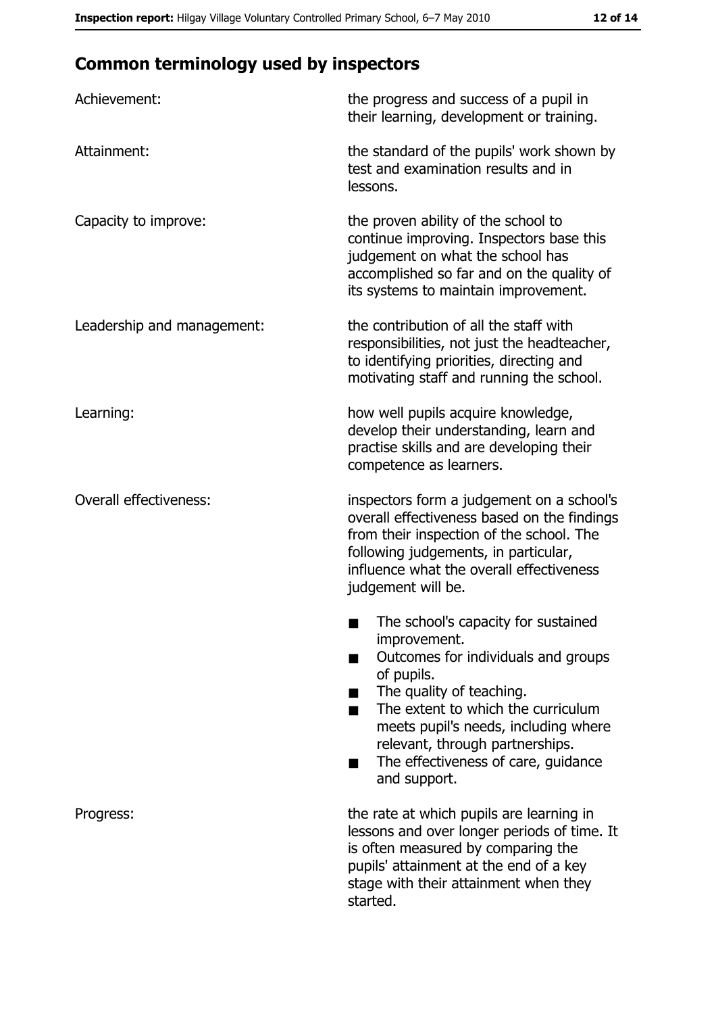# **Common terminology used by inspectors**

| Achievement:                  | the progress and success of a pupil in<br>their learning, development or training.                                                                                                                                                                                                                           |
|-------------------------------|--------------------------------------------------------------------------------------------------------------------------------------------------------------------------------------------------------------------------------------------------------------------------------------------------------------|
| Attainment:                   | the standard of the pupils' work shown by<br>test and examination results and in<br>lessons.                                                                                                                                                                                                                 |
| Capacity to improve:          | the proven ability of the school to<br>continue improving. Inspectors base this<br>judgement on what the school has<br>accomplished so far and on the quality of<br>its systems to maintain improvement.                                                                                                     |
| Leadership and management:    | the contribution of all the staff with<br>responsibilities, not just the headteacher,<br>to identifying priorities, directing and<br>motivating staff and running the school.                                                                                                                                |
| Learning:                     | how well pupils acquire knowledge,<br>develop their understanding, learn and<br>practise skills and are developing their<br>competence as learners.                                                                                                                                                          |
| <b>Overall effectiveness:</b> | inspectors form a judgement on a school's<br>overall effectiveness based on the findings<br>from their inspection of the school. The<br>following judgements, in particular,<br>influence what the overall effectiveness<br>judgement will be.                                                               |
|                               | The school's capacity for sustained<br>improvement.<br>Outcomes for individuals and groups<br>of pupils.<br>The quality of teaching.<br>The extent to which the curriculum<br>meets pupil's needs, including where<br>relevant, through partnerships.<br>The effectiveness of care, guidance<br>and support. |
| Progress:                     | the rate at which pupils are learning in<br>lessons and over longer periods of time. It<br>is often measured by comparing the<br>pupils' attainment at the end of a key<br>stage with their attainment when they<br>started.                                                                                 |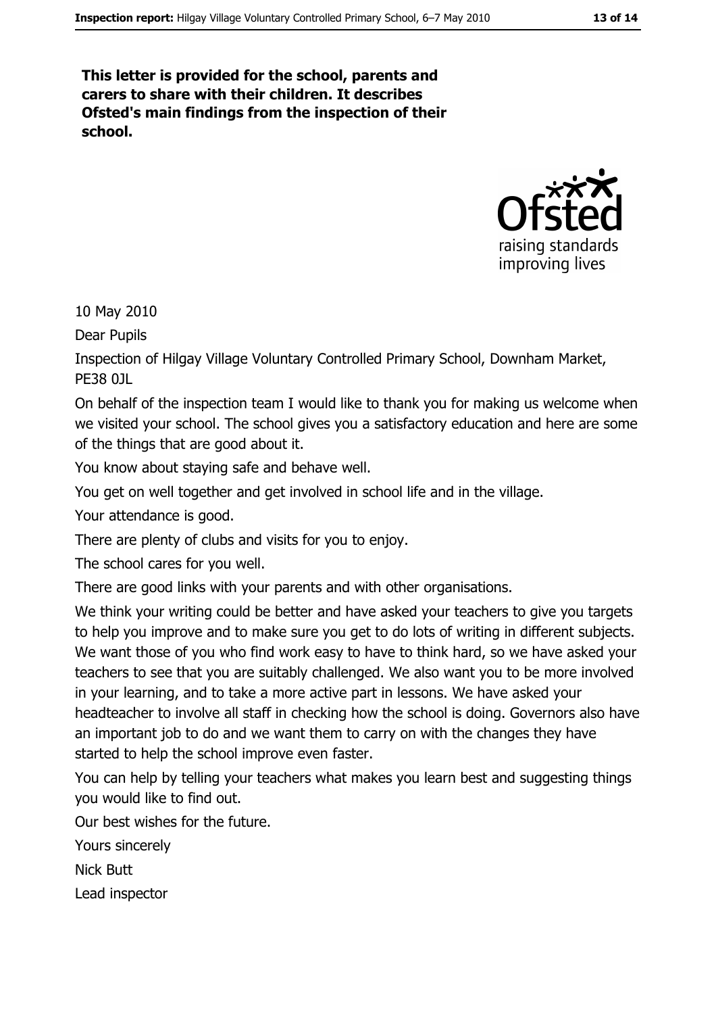This letter is provided for the school, parents and carers to share with their children. It describes Ofsted's main findings from the inspection of their school.



10 May 2010

Dear Pupils

Inspection of Hilgay Village Voluntary Controlled Primary School, Downham Market, PF38 01

On behalf of the inspection team I would like to thank you for making us welcome when we visited your school. The school gives you a satisfactory education and here are some of the things that are good about it.

You know about staying safe and behave well.

You get on well together and get involved in school life and in the village.

Your attendance is good.

There are plenty of clubs and visits for you to enjoy.

The school cares for you well.

There are good links with your parents and with other organisations.

We think your writing could be better and have asked your teachers to give you targets to help you improve and to make sure you get to do lots of writing in different subjects. We want those of you who find work easy to have to think hard, so we have asked your teachers to see that you are suitably challenged. We also want you to be more involved in your learning, and to take a more active part in lessons. We have asked your headteacher to involve all staff in checking how the school is doing. Governors also have an important job to do and we want them to carry on with the changes they have started to help the school improve even faster.

You can help by telling your teachers what makes you learn best and suggesting things you would like to find out.

Our best wishes for the future.

Yours sincerely

**Nick Butt** 

Lead inspector